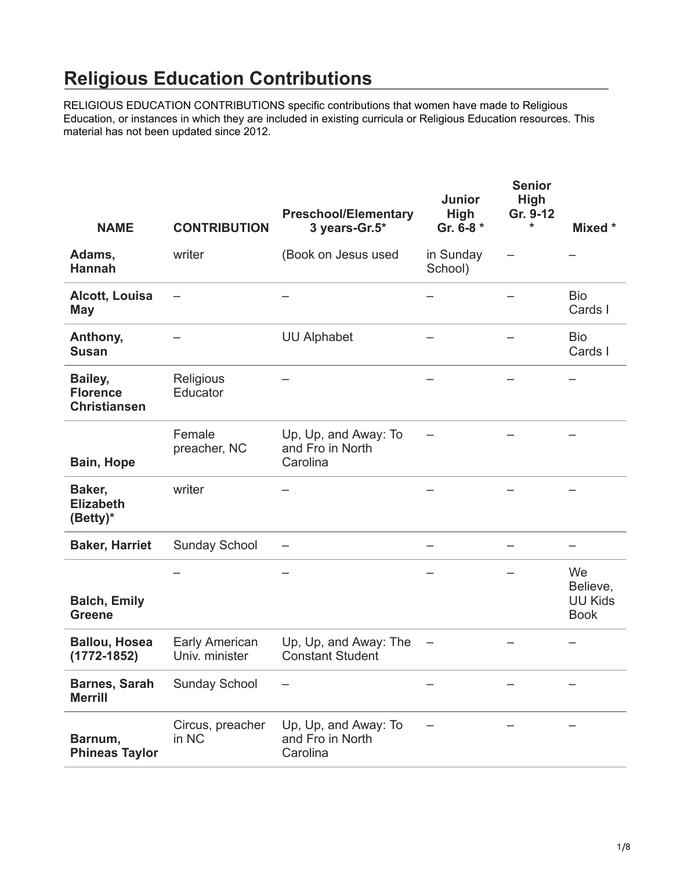## **Religious Education Contributions**

[RELIGIOUS EDUCATION CONTRIBUTIONS specific contributions that women have made to Religious](https://uuhhs.org/womens-history/religious-education-contributions/)  Education, or instances in which they are included in existing curricula or Religious Education resources. This material has not been updated since 2012.

| <b>NAME</b>                                       | <b>CONTRIBUTION</b>              | <b>Preschool/Elementary</b><br>3 years-Gr.5*         | <b>Junior</b><br><b>High</b><br>Gr. 6-8 * | <b>Senior</b><br>High<br>Gr. 9-12<br>* | Mixed *                                         |
|---------------------------------------------------|----------------------------------|------------------------------------------------------|-------------------------------------------|----------------------------------------|-------------------------------------------------|
| Adams,<br><b>Hannah</b>                           | writer                           | (Book on Jesus used                                  | in Sunday<br>School)                      |                                        |                                                 |
| <b>Alcott, Louisa</b><br><b>May</b>               |                                  |                                                      |                                           |                                        | <b>Bio</b><br>Cards I                           |
| Anthony,<br><b>Susan</b>                          |                                  | <b>UU Alphabet</b>                                   |                                           |                                        | <b>Bio</b><br>Cards I                           |
| Bailey,<br><b>Florence</b><br><b>Christiansen</b> | Religious<br>Educator            |                                                      |                                           |                                        |                                                 |
| Bain, Hope                                        | Female<br>preacher, NC           | Up, Up, and Away: To<br>and Fro in North<br>Carolina |                                           |                                        |                                                 |
| Baker,<br><b>Elizabeth</b><br>(Betty)*            | writer                           |                                                      |                                           |                                        |                                                 |
| <b>Baker, Harriet</b>                             | <b>Sunday School</b>             |                                                      |                                           |                                        |                                                 |
| <b>Balch, Emily</b><br><b>Greene</b>              |                                  |                                                      |                                           |                                        | We<br>Believe,<br><b>UU Kids</b><br><b>Book</b> |
| <b>Ballou, Hosea</b><br>$(1772 - 1852)$           | Early American<br>Univ. minister | Up, Up, and Away: The<br><b>Constant Student</b>     |                                           |                                        |                                                 |
| <b>Barnes, Sarah</b><br><b>Merrill</b>            | <b>Sunday School</b>             |                                                      |                                           |                                        |                                                 |
| Barnum,<br><b>Phineas Taylor</b>                  | Circus, preacher<br>in NC        | Up, Up, and Away: To<br>and Fro in North<br>Carolina |                                           |                                        |                                                 |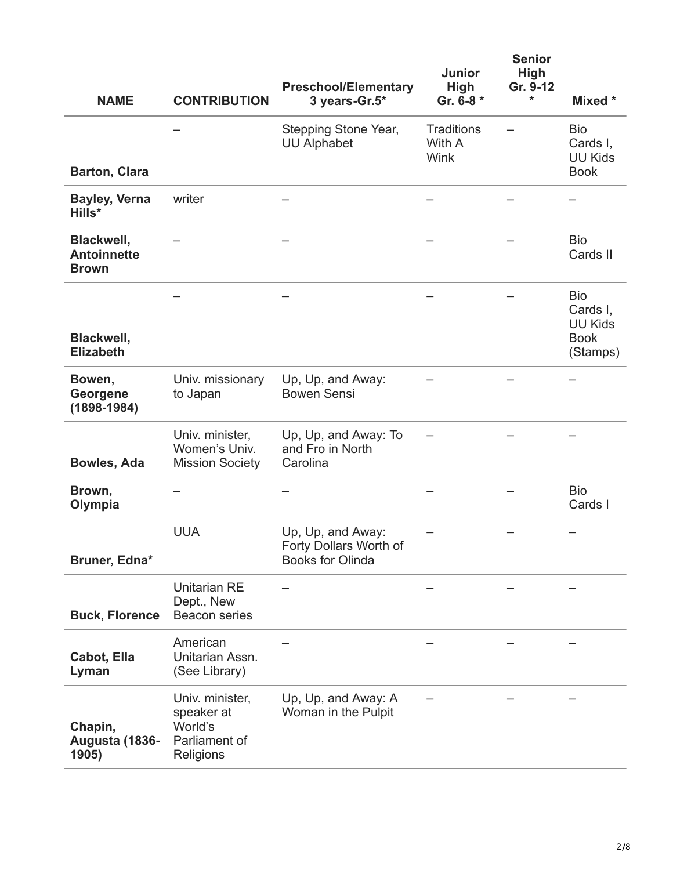|                                                  |                                                                        | <b>Preschool/Elementary</b>                                     | <b>Junior</b><br><b>High</b>        | <b>Senior</b><br><b>High</b><br>Gr. 9-12 |                                                                     |
|--------------------------------------------------|------------------------------------------------------------------------|-----------------------------------------------------------------|-------------------------------------|------------------------------------------|---------------------------------------------------------------------|
| <b>NAME</b>                                      | <b>CONTRIBUTION</b>                                                    | 3 years-Gr.5*                                                   | Gr. 6-8 *                           | *                                        | Mixed *                                                             |
| <b>Barton, Clara</b>                             |                                                                        | Stepping Stone Year,<br><b>UU Alphabet</b>                      | <b>Traditions</b><br>With A<br>Wink |                                          | <b>Bio</b><br>Cards I,<br><b>UU Kids</b><br><b>Book</b>             |
|                                                  |                                                                        |                                                                 |                                     |                                          |                                                                     |
| <b>Bayley, Verna</b><br>Hills*                   | writer                                                                 |                                                                 |                                     |                                          |                                                                     |
| Blackwell,<br><b>Antoinnette</b><br><b>Brown</b> |                                                                        |                                                                 |                                     |                                          | <b>Bio</b><br>Cards II                                              |
| Blackwell,<br><b>Elizabeth</b>                   |                                                                        |                                                                 |                                     |                                          | <b>Bio</b><br>Cards I.<br><b>UU Kids</b><br><b>Book</b><br>(Stamps) |
| Bowen,<br>Georgene<br>$(1898 - 1984)$            | Univ. missionary<br>to Japan                                           | Up, Up, and Away:<br><b>Bowen Sensi</b>                         |                                     |                                          |                                                                     |
| <b>Bowles, Ada</b>                               | Univ. minister,<br>Women's Univ.<br><b>Mission Society</b>             | Up, Up, and Away: To<br>and Fro in North<br>Carolina            |                                     |                                          |                                                                     |
| Brown,<br>Olympia                                |                                                                        |                                                                 |                                     |                                          | <b>Bio</b><br>Cards I                                               |
| Bruner, Edna*                                    | <b>UUA</b>                                                             | Up, Up, and Away:<br>Forty Dollars Worth of<br>Books for Olinda |                                     |                                          |                                                                     |
| <b>Buck, Florence</b>                            | <b>Unitarian RE</b><br>Dept., New<br><b>Beacon series</b>              |                                                                 |                                     |                                          |                                                                     |
| Cabot, Ella<br>Lyman                             | American<br>Unitarian Assn.<br>(See Library)                           |                                                                 |                                     |                                          |                                                                     |
| Chapin,<br>Augusta (1836-<br>1905)               | Univ. minister,<br>speaker at<br>World's<br>Parliament of<br>Religions | Up, Up, and Away: A<br>Woman in the Pulpit                      |                                     |                                          |                                                                     |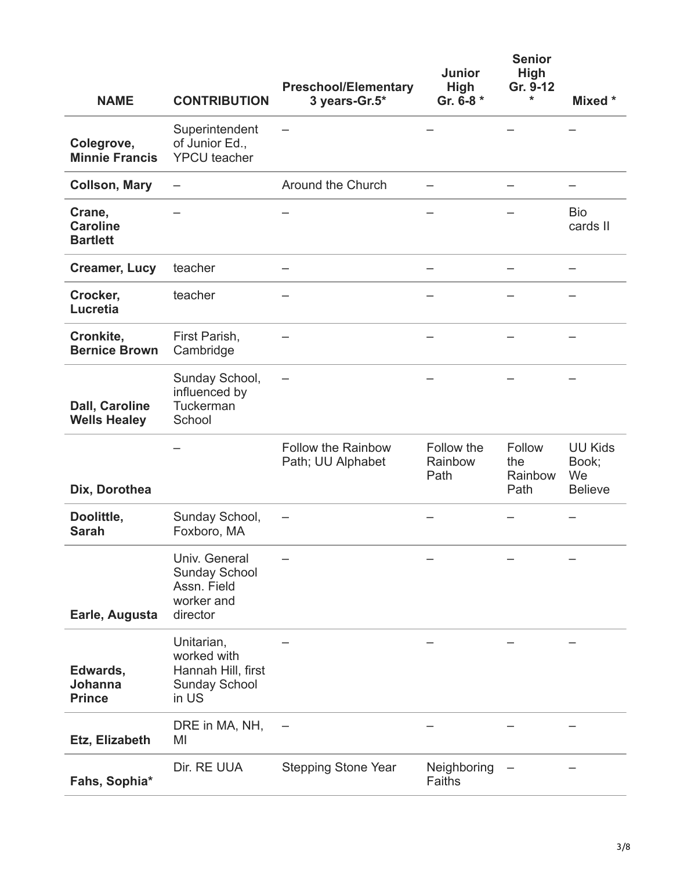| <b>NAME</b>                                  | <b>CONTRIBUTION</b>                                                              | <b>Preschool/Elementary</b><br>3 years-Gr.5*   | <b>Junior</b><br><b>High</b><br>Gr. 6-8 * | <b>Senior</b><br><b>High</b><br>Gr. 9-12<br>* | Mixed *                                         |
|----------------------------------------------|----------------------------------------------------------------------------------|------------------------------------------------|-------------------------------------------|-----------------------------------------------|-------------------------------------------------|
| Colegrove,<br><b>Minnie Francis</b>          | Superintendent<br>of Junior Ed.,<br><b>YPCU</b> teacher                          |                                                |                                           |                                               |                                                 |
| <b>Collson, Mary</b>                         |                                                                                  | Around the Church                              |                                           |                                               |                                                 |
| Crane,<br><b>Caroline</b><br><b>Bartlett</b> |                                                                                  |                                                |                                           |                                               | <b>Bio</b><br>cards II                          |
| <b>Creamer, Lucy</b>                         | teacher                                                                          |                                                |                                           |                                               |                                                 |
| Crocker,<br>Lucretia                         | teacher                                                                          |                                                |                                           |                                               |                                                 |
| Cronkite,<br><b>Bernice Brown</b>            | First Parish,<br>Cambridge                                                       |                                                |                                           |                                               |                                                 |
| <b>Dall, Caroline</b><br><b>Wells Healey</b> | Sunday School,<br>influenced by<br>Tuckerman<br>School                           |                                                |                                           |                                               |                                                 |
| Dix, Dorothea                                |                                                                                  | <b>Follow the Rainbow</b><br>Path; UU Alphabet | Follow the<br>Rainbow<br>Path             | Follow<br>the<br>Rainbow<br>Path              | <b>UU Kids</b><br>Book;<br>We<br><b>Believe</b> |
| Doolittle,<br><b>Sarah</b>                   | Sunday School,<br>Foxboro, MA                                                    |                                                |                                           |                                               |                                                 |
| Earle, Augusta                               | Univ. General<br>Sunday School<br>Assn. Field<br>worker and<br>director          |                                                |                                           |                                               |                                                 |
| Edwards,<br><b>Johanna</b><br><b>Prince</b>  | Unitarian,<br>worked with<br>Hannah Hill, first<br><b>Sunday School</b><br>in US |                                                |                                           |                                               |                                                 |
| Etz, Elizabeth                               | DRE in MA, NH,<br>MI                                                             |                                                |                                           |                                               |                                                 |
| Fahs, Sophia*                                | Dir. RE UUA                                                                      | <b>Stepping Stone Year</b>                     | Neighboring<br>Faiths                     |                                               |                                                 |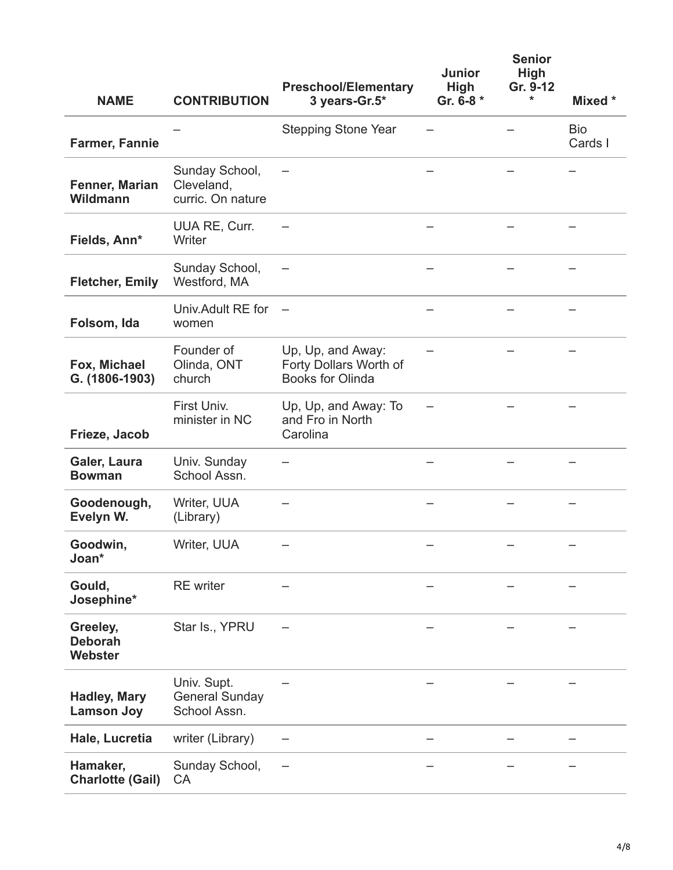| <b>NAME</b>                              | <b>CONTRIBUTION</b>                                  | <b>Preschool/Elementary</b><br>3 years-Gr.5*                           | <b>Junior</b><br><b>High</b><br>Gr. 6-8 * | <b>Senior</b><br><b>High</b><br>Gr. 9-12<br>* | Mixed *               |
|------------------------------------------|------------------------------------------------------|------------------------------------------------------------------------|-------------------------------------------|-----------------------------------------------|-----------------------|
| <b>Farmer, Fannie</b>                    |                                                      | <b>Stepping Stone Year</b>                                             |                                           |                                               | <b>Bio</b><br>Cards I |
| Fenner, Marian<br>Wildmann               | Sunday School,<br>Cleveland,<br>curric. On nature    |                                                                        |                                           |                                               |                       |
| Fields, Ann*                             | <b>UUA RE, Curr.</b><br>Writer                       |                                                                        |                                           |                                               |                       |
| <b>Fletcher, Emily</b>                   | Sunday School,<br>Westford, MA                       |                                                                        |                                           |                                               |                       |
| Folsom, Ida                              | Univ. Adult RE for<br>women                          |                                                                        |                                           |                                               |                       |
| Fox, Michael<br>G. (1806-1903)           | Founder of<br>Olinda, ONT<br>church                  | Up, Up, and Away:<br>Forty Dollars Worth of<br><b>Books for Olinda</b> |                                           |                                               |                       |
| Frieze, Jacob                            | First Univ.<br>minister in NC                        | Up, Up, and Away: To<br>and Fro in North<br>Carolina                   |                                           |                                               |                       |
| Galer, Laura<br><b>Bowman</b>            | Univ. Sunday<br>School Assn.                         |                                                                        |                                           |                                               |                       |
| Goodenough,<br>Evelyn W.                 | Writer, UUA<br>(Library)                             |                                                                        |                                           |                                               |                       |
| Goodwin,<br>Joan*                        | Writer, UUA                                          |                                                                        |                                           |                                               |                       |
| Gould,<br>Josephine*                     | <b>RE</b> writer                                     |                                                                        |                                           |                                               |                       |
| Greeley,<br><b>Deborah</b><br>Webster    | Star Is., YPRU                                       |                                                                        |                                           |                                               |                       |
| <b>Hadley, Mary</b><br><b>Lamson Joy</b> | Univ. Supt.<br><b>General Sunday</b><br>School Assn. |                                                                        |                                           |                                               |                       |
| Hale, Lucretia                           | writer (Library)                                     |                                                                        |                                           |                                               |                       |
| Hamaker,<br><b>Charlotte (Gail)</b>      | Sunday School,<br>CA                                 |                                                                        |                                           |                                               |                       |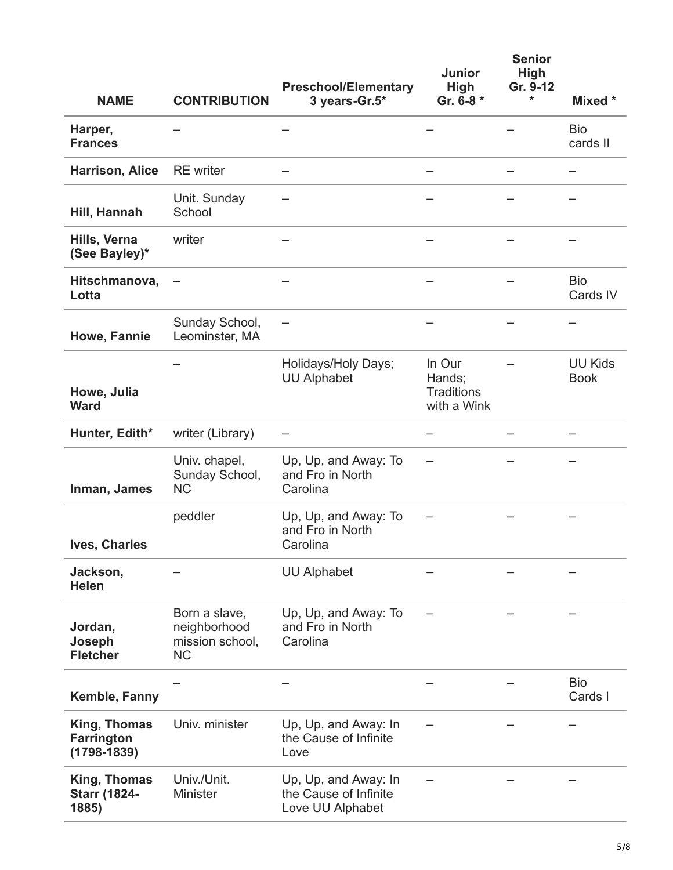|                                                      |                                                               | <b>Preschool/Elementary</b>                                       | <b>Junior</b><br><b>High</b>                         | <b>Senior</b><br>High<br>Gr. 9-12 |                               |
|------------------------------------------------------|---------------------------------------------------------------|-------------------------------------------------------------------|------------------------------------------------------|-----------------------------------|-------------------------------|
| <b>NAME</b>                                          | <b>CONTRIBUTION</b>                                           | 3 years-Gr.5*                                                     | Gr. 6-8 *                                            | *                                 | Mixed *                       |
| Harper,<br><b>Frances</b>                            |                                                               |                                                                   |                                                      |                                   | <b>Bio</b><br>cards II        |
| <b>Harrison, Alice</b>                               | <b>RE</b> writer                                              |                                                                   |                                                      |                                   |                               |
| Hill, Hannah                                         | Unit. Sunday<br>School                                        |                                                                   |                                                      |                                   |                               |
| Hills, Verna<br>(See Bayley)*                        | writer                                                        |                                                                   |                                                      |                                   |                               |
| Hitschmanova,<br>Lotta                               |                                                               |                                                                   |                                                      |                                   | <b>Bio</b><br>Cards IV        |
| Howe, Fannie                                         | Sunday School,<br>Leominster, MA                              |                                                                   |                                                      |                                   |                               |
| Howe, Julia<br><b>Ward</b>                           |                                                               | Holidays/Holy Days;<br><b>UU Alphabet</b>                         | In Our<br>Hands;<br><b>Traditions</b><br>with a Wink |                                   | <b>UU Kids</b><br><b>Book</b> |
| Hunter, Edith*                                       | writer (Library)                                              |                                                                   |                                                      |                                   |                               |
| Inman, James                                         | Univ. chapel,<br>Sunday School,<br><b>NC</b>                  | Up, Up, and Away: To<br>and Fro in North<br>Carolina              |                                                      |                                   |                               |
| <b>Ives, Charles</b>                                 | peddler                                                       | Up, Up, and Away: To<br>and Fro in North<br>Carolina              |                                                      |                                   |                               |
| Jackson,<br><b>Helen</b>                             |                                                               | <b>UU Alphabet</b>                                                |                                                      |                                   |                               |
| Jordan,<br>Joseph<br><b>Fletcher</b>                 | Born a slave,<br>neighborhood<br>mission school,<br><b>NC</b> | Up, Up, and Away: To<br>and Fro in North<br>Carolina              |                                                      |                                   |                               |
| Kemble, Fanny                                        |                                                               |                                                                   |                                                      |                                   | <b>Bio</b><br>Cards I         |
| King, Thomas<br><b>Farrington</b><br>$(1798 - 1839)$ | Univ. minister                                                | Up, Up, and Away: In<br>the Cause of Infinite<br>Love             |                                                      |                                   |                               |
| King, Thomas<br><b>Starr (1824-</b><br>1885)         | Univ./Unit.<br>Minister                                       | Up, Up, and Away: In<br>the Cause of Infinite<br>Love UU Alphabet |                                                      |                                   |                               |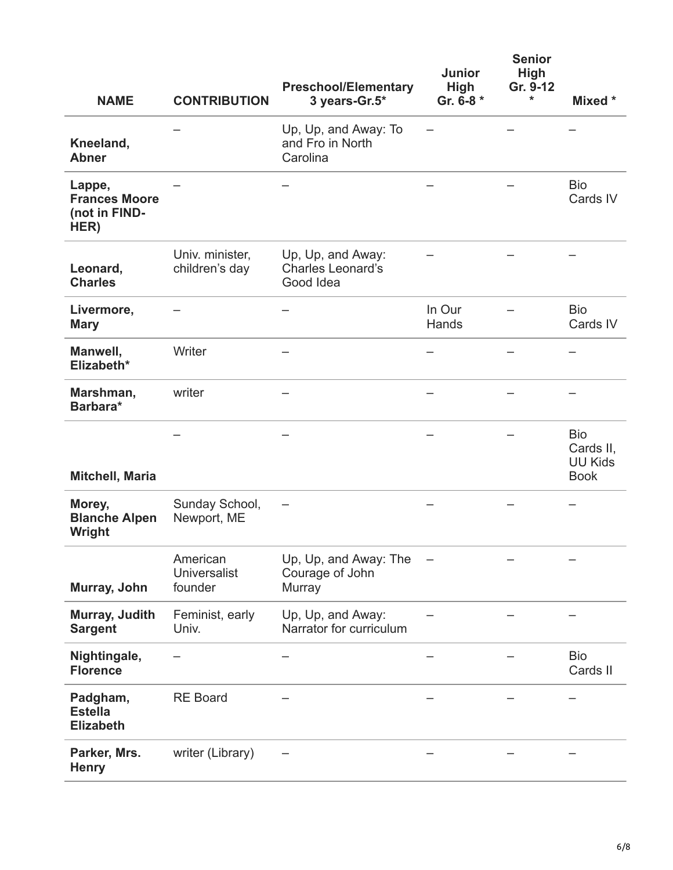| <b>NAME</b>                                             | <b>CONTRIBUTION</b>                        | <b>Preschool/Elementary</b><br>3 years-Gr.5*               | <b>Junior</b><br><b>High</b><br>Gr. 6-8 * | <b>Senior</b><br><b>High</b><br>Gr. 9-12<br>* | Mixed *                                                  |
|---------------------------------------------------------|--------------------------------------------|------------------------------------------------------------|-------------------------------------------|-----------------------------------------------|----------------------------------------------------------|
| Kneeland,<br><b>Abner</b>                               |                                            | Up, Up, and Away: To<br>and Fro in North<br>Carolina       |                                           |                                               |                                                          |
| Lappe,<br><b>Frances Moore</b><br>(not in FIND-<br>HER) |                                            |                                                            |                                           |                                               | <b>Bio</b><br>Cards IV                                   |
| Leonard,<br><b>Charles</b>                              | Univ. minister,<br>children's day          | Up, Up, and Away:<br><b>Charles Leonard's</b><br>Good Idea |                                           |                                               |                                                          |
| Livermore,<br><b>Mary</b>                               |                                            |                                                            | In Our<br>Hands                           |                                               | <b>Bio</b><br>Cards IV                                   |
| Manwell,<br>Elizabeth*                                  | Writer                                     |                                                            |                                           |                                               |                                                          |
| Marshman,<br>Barbara*                                   | writer                                     |                                                            |                                           |                                               |                                                          |
| Mitchell, Maria                                         |                                            |                                                            |                                           |                                               | <b>Bio</b><br>Cards II,<br><b>UU Kids</b><br><b>Book</b> |
| Morey,<br><b>Blanche Alpen</b><br>Wright                | Sunday School,<br>Newport, ME              |                                                            |                                           |                                               |                                                          |
| Murray, John                                            | American<br><b>Universalist</b><br>founder | Up, Up, and Away: The<br>Courage of John<br>Murray         |                                           |                                               |                                                          |
| Murray, Judith<br><b>Sargent</b>                        | Feminist, early<br>Univ.                   | Up, Up, and Away:<br>Narrator for curriculum               |                                           |                                               |                                                          |
| Nightingale,<br><b>Florence</b>                         |                                            |                                                            |                                           |                                               | <b>Bio</b><br>Cards II                                   |
| Padgham,<br><b>Estella</b><br><b>Elizabeth</b>          | <b>RE Board</b>                            |                                                            |                                           |                                               |                                                          |
| Parker, Mrs.<br><b>Henry</b>                            | writer (Library)                           |                                                            |                                           |                                               |                                                          |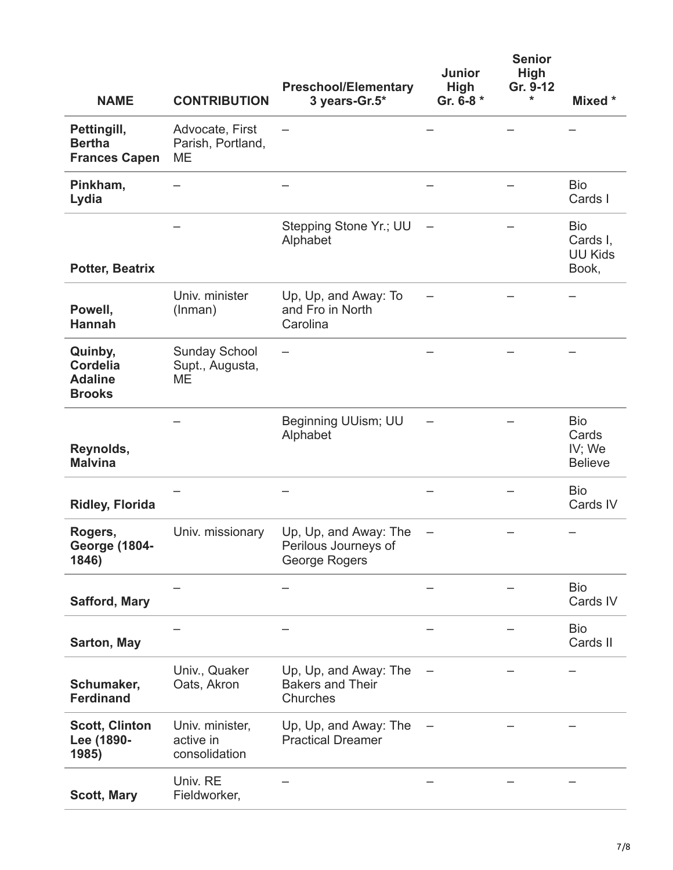| <b>NAME</b>                                                   | <b>CONTRIBUTION</b>                           | <b>Preschool/Elementary</b><br>3 years-Gr.5*                   | <b>Junior</b><br>High<br>Gr. 6-8 * | <b>Senior</b><br><b>High</b><br>Gr. 9-12<br>* | Mixed *                                           |
|---------------------------------------------------------------|-----------------------------------------------|----------------------------------------------------------------|------------------------------------|-----------------------------------------------|---------------------------------------------------|
| Pettingill,<br><b>Bertha</b><br><b>Frances Capen</b>          | Advocate, First<br>Parish, Portland,<br>ME    |                                                                |                                    |                                               |                                                   |
| Pinkham,<br>Lydia                                             |                                               |                                                                |                                    |                                               | <b>Bio</b><br>Cards I                             |
| <b>Potter, Beatrix</b>                                        |                                               | Stepping Stone Yr.; UU<br>Alphabet                             |                                    |                                               | <b>Bio</b><br>Cards I,<br><b>UU Kids</b><br>Book, |
| Powell,<br><b>Hannah</b>                                      | Univ. minister<br>(Inman)                     | Up, Up, and Away: To<br>and Fro in North<br>Carolina           |                                    |                                               |                                                   |
| Quinby,<br><b>Cordelia</b><br><b>Adaline</b><br><b>Brooks</b> | <b>Sunday School</b><br>Supt., Augusta,<br>ME |                                                                |                                    |                                               |                                                   |
| Reynolds,<br><b>Malvina</b>                                   |                                               | Beginning UUism; UU<br>Alphabet                                |                                    |                                               | <b>Bio</b><br>Cards<br>IV; We<br><b>Believe</b>   |
| <b>Ridley, Florida</b>                                        |                                               |                                                                |                                    |                                               | <b>Bio</b><br>Cards IV                            |
| Rogers,<br><b>George (1804-</b><br>1846)                      | Univ. missionary                              | Up, Up, and Away: The<br>Perilous Journeys of<br>George Rogers |                                    |                                               |                                                   |
| <b>Safford, Mary</b>                                          |                                               |                                                                |                                    |                                               | <b>Bio</b><br>Cards IV                            |
| Sarton, May                                                   |                                               |                                                                |                                    |                                               | <b>Bio</b><br>Cards II                            |
| Schumaker,<br><b>Ferdinand</b>                                | Univ., Quaker<br>Oats, Akron                  | Up, Up, and Away: The<br><b>Bakers and Their</b><br>Churches   |                                    |                                               |                                                   |
| <b>Scott, Clinton</b><br>Lee (1890-<br>1985)                  | Univ. minister,<br>active in<br>consolidation | Up, Up, and Away: The<br><b>Practical Dreamer</b>              |                                    |                                               |                                                   |
| <b>Scott, Mary</b>                                            | Univ. RE<br>Fieldworker,                      |                                                                |                                    |                                               |                                                   |